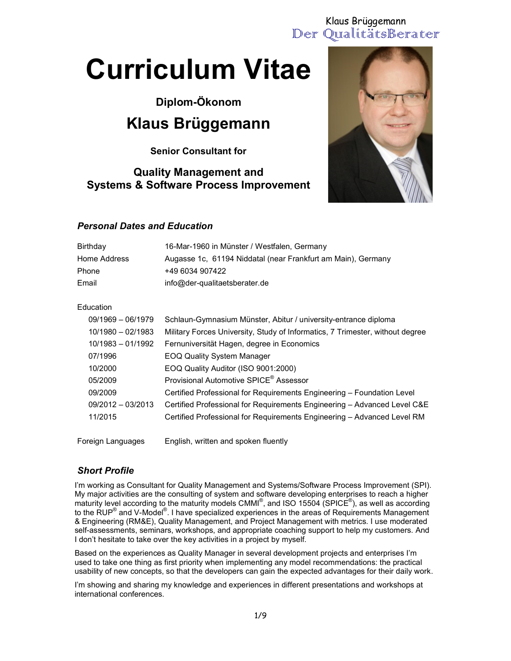# Der QualitätsBerater Klaus Brüggemann

# Curriculum Vitae

Diplom-Ökonom

# Klaus Brüggemann

Senior Consultant for

## Quality Management and Systems & Software Process Improvement



#### Personal Dates and Education

| Birthday     | 16-Mar-1960 in Münster / Westfalen, Germany                  |
|--------------|--------------------------------------------------------------|
| Home Address | Augasse 1c, 61194 Niddatal (near Frankfurt am Main), Germany |
| Phone        | +49 6034 907422                                              |
| Email        | info@der-qualitaetsberater.de                                |

#### Education

| $09/1969 - 06/1979$ | Schlaun-Gymnasium Münster, Abitur / university-entrance diploma               |
|---------------------|-------------------------------------------------------------------------------|
| $10/1980 - 02/1983$ | Military Forces University, Study of Informatics, 7 Trimester, without degree |
| $10/1983 - 01/1992$ | Fernuniversität Hagen, degree in Economics                                    |
| 07/1996             | <b>EOQ Quality System Manager</b>                                             |
| 10/2000             | EOQ Quality Auditor (ISO 9001:2000)                                           |
| 05/2009             | Provisional Automotive SPICE <sup>®</sup> Assessor                            |
| 09/2009             | Certified Professional for Requirements Engineering - Foundation Level        |
| $09/2012 - 03/2013$ | Certified Professional for Requirements Engineering - Advanced Level C&E      |
| 11/2015             | Certified Professional for Requirements Engineering - Advanced Level RM       |
|                     |                                                                               |

Foreign Languages English, written and spoken fluently

#### Short Profile

I'm working as Consultant for Quality Management and Systems/Software Process Improvement (SPI). My major activities are the consulting of system and software developing enterprises to reach a higher maturity level according to the maturity models CMMI $^{\circ}$ , and ISO 15504 (SPICE $^{\circ}$ ), as well as according to the RUP® and V-Model®. I have specialized experiences in the areas of Requirements Management & Engineering (RM&E), Quality Management, and Project Management with metrics. I use moderated self-assessments, seminars, workshops, and appropriate coaching support to help my customers. And I don't hesitate to take over the key activities in a project by myself.

Based on the experiences as Quality Manager in several development projects and enterprises I'm used to take one thing as first priority when implementing any model recommendations: the practical usability of new concepts, so that the developers can gain the expected advantages for their daily work.

I'm showing and sharing my knowledge and experiences in different presentations and workshops at international conferences.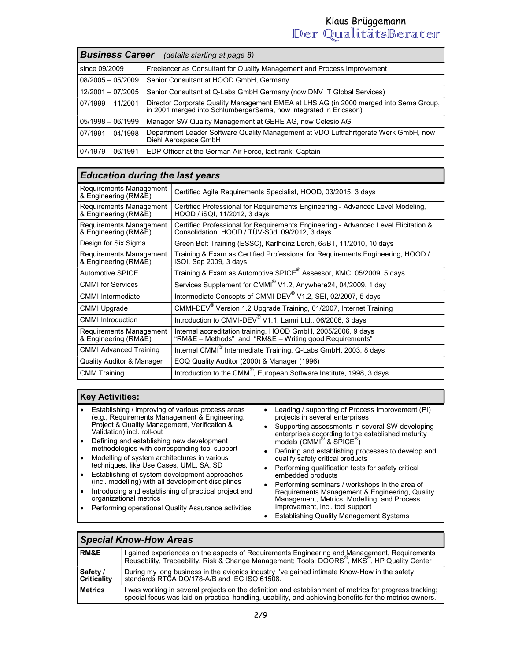# Der QualitätsBerater Klaus Brüggemann

| <b>Business Career</b><br>(details starting at page 8) |                                                                                                                                                            |
|--------------------------------------------------------|------------------------------------------------------------------------------------------------------------------------------------------------------------|
| since 09/2009                                          | Freelancer as Consultant for Quality Management and Process Improvement                                                                                    |
| $08/2005 - 05/2009$                                    | Senior Consultant at HOOD GmbH, Germany                                                                                                                    |
| 12/2001 - 07/2005                                      | Senior Consultant at Q-Labs GmbH Germany (now DNV IT Global Services)                                                                                      |
| $07/1999 - 11/2001$                                    | Director Corporate Quality Management EMEA at LHS AG (in 2000 merged into Sema Group,<br>in 2001 merged into SchlumbergerSema, now integrated in Ericsson) |
| $05/1998 - 06/1999$                                    | Manager SW Quality Management at GEHE AG, now Celesio AG                                                                                                   |
| $07/1991 - 04/1998$                                    | Department Leader Software Quality Management at VDO Luftfahrtgeräte Werk GmbH, now<br>Diehl Aerospace GmbH                                                |
| $07/1979 - 06/1991$                                    | EDP Officer at the German Air Force, last rank: Captain                                                                                                    |

### Education during the last years

| Requirements Management<br>& Engineering (RM&E) | Certified Agile Requirements Specialist, HOOD, 03/2015, 3 days                                                                       |
|-------------------------------------------------|--------------------------------------------------------------------------------------------------------------------------------------|
| Requirements Management<br>& Engineering (RM&E) | Certified Professional for Requirements Engineering - Advanced Level Modeling,<br>HOOD / iSQI, 11/2012, 3 days                       |
| Requirements Management<br>& Engineering (RM&E) | Certified Professional for Requirements Engineering - Advanced Level Elicitation &<br>Consolidation, HOOD / TÜV-Süd, 09/2012, 3 days |
| Design for Six Sigma                            | Green Belt Training (ESSC), Karlheinz Lerch, $6\sigma B$ T, 11/2010, 10 days                                                         |
| Requirements Management<br>& Engineering (RM&E) | Training & Exam as Certified Professional for Requirements Engineering, HOOD /<br>iSQI, Sep 2009, 3 days                             |
| <b>Automotive SPICE</b>                         | Training & Exam as Automotive SPICE <sup>®</sup> Assessor, KMC, 05/2009, 5 days                                                      |
| <b>CMMI</b> for Services                        | Services Supplement for CMMI® V1.2, Anywhere24, 04/2009, 1 day                                                                       |
| <b>CMMI</b> Intermediate                        | Intermediate Concepts of CMMI-DEV <sup>®</sup> V1.2, SEI, 02/2007, 5 days                                                            |
| <b>CMMI Upgrade</b>                             | CMMI-DEV <sup>®</sup> Version 1.2 Upgrade Training, 01/2007, Internet Training                                                       |
| <b>CMMI</b> Introduction                        | Introduction to CMMI-DEV <sup>®</sup> V1.1, Lamri Ltd., 06/2006, 3 days                                                              |
| Requirements Management<br>& Engineering (RM&E) | Internal accreditation training, HOOD GmbH, 2005/2006, 9 days<br>"RM&E - Methods" and "RM&E - Writing good Requirements"             |
| <b>CMMI Advanced Training</b>                   | Internal CMMI <sup>®</sup> Intermediate Training, Q-Labs GmbH, 2003, 8 days                                                          |
| <b>Quality Auditor &amp; Manager</b>            | EOQ Quality Auditor (2000) & Manager (1996)                                                                                          |
| <b>CMM Training</b>                             | Introduction to the CMM <sup>®</sup> , European Software Institute, 1998, 3 days                                                     |

#### Key Activities:

- Establishing / improving of various process areas (e.g., Requirements Management & Engineering, Project & Quality Management, Verification & Validation) incl. roll-out
- Defining and establishing new development methodologies with corresponding tool support
- Modelling of system architectures in various techniques, like Use Cases, UML, SA, SD
- Establishing of system development approaches (incl. modelling) with all development disciplines
- Introducing and establishing of practical project and organizational metrics
- Performing operational Quality Assurance activities
- Leading / supporting of Process Improvement (PI) projects in several enterprises
- Supporting assessments in several SW developing enterprises according to the established maturity models (CMMI<sup>®</sup> & SPICE<sup>®</sup>)
- Defining and establishing processes to develop and qualify safety critical products
- Performing qualification tests for safety critical embedded products
- Performing seminars / workshops in the area of Requirements Management & Engineering, Quality Management, Metrics, Modelling, and Process Improvement, incl. tool support
- Establishing Quality Management Systems

| <b>Special Know-How Areas</b>                                                                                                                                                  |                                                                                                                                                                                                                    |
|--------------------------------------------------------------------------------------------------------------------------------------------------------------------------------|--------------------------------------------------------------------------------------------------------------------------------------------------------------------------------------------------------------------|
| <b>RM&amp;E</b>                                                                                                                                                                | I gained experiences on the aspects of Requirements Engineering and Management, Requirements<br>Reusability, Traceability, Risk & Change Management; Tools: DOORS , MKS , HP Quality Center                        |
| Safety /<br>During my long business in the avionics industry I've gained intimate Know-How in the safety<br>standards RTCA DO/178-A/B and IEC ISO 61508.<br><b>Criticality</b> |                                                                                                                                                                                                                    |
| <b>Metrics</b>                                                                                                                                                                 | I was working in several projects on the definition and establishment of metrics for progress tracking;<br>special focus was laid on practical handling, usability, and achieving benefits for the metrics owners. |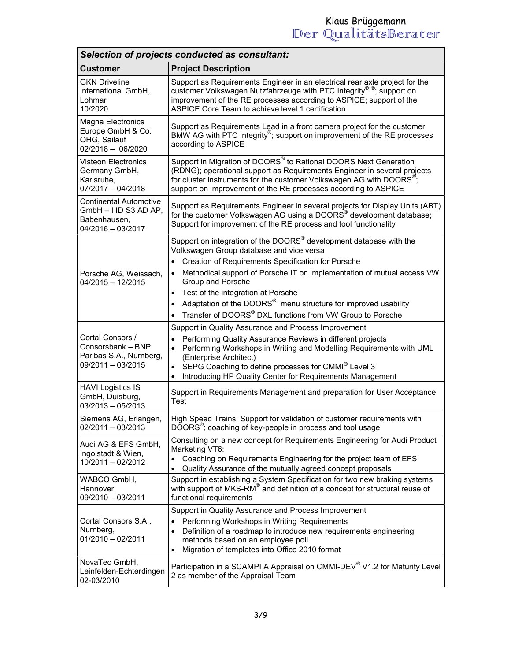| Selection of projects conducted as consultant:                                                  |                                                                                                                                                                                                                                                                                                    |  |
|-------------------------------------------------------------------------------------------------|----------------------------------------------------------------------------------------------------------------------------------------------------------------------------------------------------------------------------------------------------------------------------------------------------|--|
| <b>Customer</b>                                                                                 | <b>Project Description</b>                                                                                                                                                                                                                                                                         |  |
| <b>GKN Driveline</b><br>International GmbH,<br>Lohmar<br>10/2020                                | Support as Requirements Engineer in an electrical rear axle project for the<br>customer Volkswagen Nutzfahrzeuge with PTC Integrity®®; support on<br>improvement of the RE processes according to ASPICE; support of the<br>ASPICE Core Team to achieve level 1 certification.                     |  |
| Magna Electronics<br>Europe GmbH & Co.<br>OHG, Sailauf<br>$02/2018 - 06/2020$                   | Support as Requirements Lead in a front camera project for the customer<br>BMW AG with PTC Integrity <sup>®</sup> ; support on improvement of the RE processes<br>according to ASPICE                                                                                                              |  |
| <b>Visteon Electronics</b><br>Germany GmbH,<br>Karlsruhe,<br>$07/2017 - 04/2018$                | Support in Migration of DOORS® to Rational DOORS Next Generation<br>(RDNG); operational support as Requirements Engineer in several projects<br>for cluster instruments for the customer Volkswagen AG with DOORS <sup>®</sup> ;<br>support on improvement of the RE processes according to ASPICE |  |
| <b>Continental Automotive</b><br>$GmbH - I$ ID S3 AD AP,<br>Babenhausen,<br>$04/2016 - 03/2017$ | Support as Requirements Engineer in several projects for Display Units (ABT)<br>for the customer Volkswagen AG using a DOORS <sup>®</sup> development database;<br>Support for improvement of the RE process and tool functionality                                                                |  |
|                                                                                                 | Support on integration of the DOORS® development database with the<br>Volkswagen Group database and vice versa<br>Creation of Requirements Specification for Porsche<br>$\bullet$                                                                                                                  |  |
| Porsche AG, Weissach,<br>$04/2015 - 12/2015$                                                    | Methodical support of Porsche IT on implementation of mutual access VW<br>Group and Porsche                                                                                                                                                                                                        |  |
|                                                                                                 | Test of the integration at Porsche<br>$\bullet$                                                                                                                                                                                                                                                    |  |
|                                                                                                 | Adaptation of the DOORS <sup>®</sup> menu structure for improved usability<br>Transfer of DOORS® DXL functions from VW Group to Porsche<br>$\bullet$                                                                                                                                               |  |
|                                                                                                 | Support in Quality Assurance and Process Improvement                                                                                                                                                                                                                                               |  |
| Cortal Consors /<br>Consorsbank - BNP<br>Paribas S.A., Nürnberg,<br>$09/2011 - 03/2015$         | Performing Quality Assurance Reviews in different projects<br>$\bullet$<br>Performing Workshops in Writing and Modelling Requirements with UML<br>$\bullet$<br>(Enterprise Architect)<br>SEPG Coaching to define processes for CMMI® Level 3<br>$\bullet$                                          |  |
| <b>HAVI Logistics IS</b>                                                                        | Introducing HP Quality Center for Requirements Management<br>$\bullet$                                                                                                                                                                                                                             |  |
| GmbH, Duisburg,<br>$03/2013 - 05/2013$                                                          | Support in Requirements Management and preparation for User Acceptance<br>Test                                                                                                                                                                                                                     |  |
| Siemens AG, Erlangen,<br>$02/2011 - 03/2013$                                                    | High Speed Trains: Support for validation of customer requirements with<br>DOORS®; coaching of key-people in process and tool usage                                                                                                                                                                |  |
| Audi AG & EFS GmbH,<br>Ingolstadt & Wien,<br>10/2011 - 02/2012                                  | Consulting on a new concept for Requirements Engineering for Audi Product<br>Marketing VT6:<br>Coaching on Requirements Engineering for the project team of EFS<br>$\bullet$<br>Quality Assurance of the mutually agreed concept proposals                                                         |  |
| WABCO GmbH,<br>Hannover,<br>09/2010 - 03/2011                                                   | Support in establishing a System Specification for two new braking systems<br>with support of MKS-RM <sup>®</sup> and definition of a concept for structural reuse of<br>functional requirements                                                                                                   |  |
| Cortal Consors S.A.,<br>Nürnberg,<br>$01/2010 - 02/2011$                                        | Support in Quality Assurance and Process Improvement<br>Performing Workshops in Writing Requirements<br>$\bullet$<br>Definition of a roadmap to introduce new requirements engineering<br>$\bullet$<br>methods based on an employee poll<br>Migration of templates into Office 2010 format         |  |
| NovaTec GmbH,<br>Leinfelden-Echterdingen<br>02-03/2010                                          | Participation in a SCAMPI A Appraisal on CMMI-DEV® V1.2 for Maturity Level<br>2 as member of the Appraisal Team                                                                                                                                                                                    |  |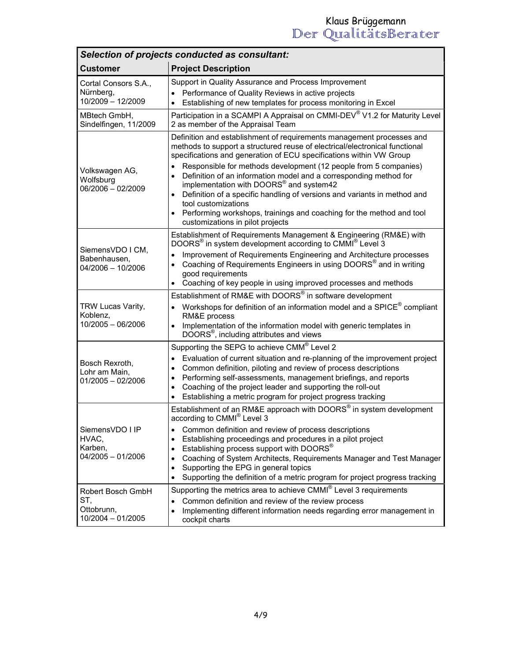| Selection of projects conducted as consultant:              |                                                                                                                                                                                                                                                                                                                                                                                                                                                                                                                                      |  |
|-------------------------------------------------------------|--------------------------------------------------------------------------------------------------------------------------------------------------------------------------------------------------------------------------------------------------------------------------------------------------------------------------------------------------------------------------------------------------------------------------------------------------------------------------------------------------------------------------------------|--|
| <b>Customer</b>                                             | <b>Project Description</b>                                                                                                                                                                                                                                                                                                                                                                                                                                                                                                           |  |
| Cortal Consors S.A.,<br>Nürnberg,<br>10/2009 - 12/2009      | Support in Quality Assurance and Process Improvement<br>Performance of Quality Reviews in active projects<br>Establishing of new templates for process monitoring in Excel                                                                                                                                                                                                                                                                                                                                                           |  |
| MBtech GmbH,<br>Sindelfingen, 11/2009                       | Participation in a SCAMPI A Appraisal on CMMI-DEV® V1.2 for Maturity Level<br>2 as member of the Appraisal Team                                                                                                                                                                                                                                                                                                                                                                                                                      |  |
| Volkswagen AG,<br>Wolfsburg<br>$06/2006 - 02/2009$          | Definition and establishment of requirements management processes and<br>methods to support a structured reuse of electrical/electronical functional<br>specifications and generation of ECU specifications within VW Group<br>Responsible for methods development (12 people from 5 companies)<br>$\bullet$<br>Definition of an information model and a corresponding method for<br>$\bullet$<br>implementation with DOORS® and system42<br>Definition of a specific handling of versions and variants in method and<br>$\bullet$   |  |
|                                                             | tool customizations<br>Performing workshops, trainings and coaching for the method and tool<br>customizations in pilot projects                                                                                                                                                                                                                                                                                                                                                                                                      |  |
| SiemensVDO I CM,<br>Babenhausen,<br>$04/2006 - 10/2006$     | Establishment of Requirements Management & Engineering (RM&E) with<br>DOORS® in system development according to CMMI® Level 3<br>Improvement of Requirements Engineering and Architecture processes<br>$\bullet$<br>Coaching of Requirements Engineers in using DOORS <sup>®</sup> and in writing<br>$\bullet$<br>good requirements<br>Coaching of key people in using improved processes and methods                                                                                                                                |  |
| TRW Lucas Varity,<br>Koblenz,<br>$10/2005 - 06/2006$        | Establishment of RM&E with DOORS® in software development<br>Workshops for definition of an information model and a SPICE <sup>®</sup> compliant<br>$\bullet$<br>RM&E process<br>Implementation of the information model with generic templates in<br>$\bullet$<br>DOORS <sup>®</sup> , including attributes and views                                                                                                                                                                                                               |  |
| Bosch Rexroth,<br>Lohr am Main,<br>$01/2005 - 02/2006$      | Supporting the SEPG to achieve CMM® Level 2<br>Evaluation of current situation and re-planning of the improvement project<br>$\bullet$<br>Common definition, piloting and review of process descriptions<br>$\bullet$<br>Performing self-assessments, management briefings, and reports<br>$\bullet$<br>Coaching of the project leader and supporting the roll-out<br>$\bullet$<br>Establishing a metric program for project progress tracking<br>$\bullet$                                                                          |  |
| SiemensVDO I IP<br>HVAC,<br>Karben,<br>04/2005 - 01/2006    | Establishment of an RM&E approach with DOORS® in system development<br>according to CMMI <sup>®</sup> Level 3<br>Common definition and review of process descriptions<br>٠<br>Establishing proceedings and procedures in a pilot project<br>٠<br>Establishing process support with DOORS®<br>٠<br>Coaching of System Architects, Requirements Manager and Test Manager<br>$\bullet$<br>Supporting the EPG in general topics<br>$\bullet$<br>Supporting the definition of a metric program for project progress tracking<br>$\bullet$ |  |
| Robert Bosch GmbH<br>ST,<br>Ottobrunn,<br>10/2004 - 01/2005 | Supporting the metrics area to achieve CMMI <sup>®</sup> Level 3 requirements<br>Common definition and review of the review process<br>$\bullet$<br>Implementing different information needs regarding error management in<br>$\bullet$<br>cockpit charts                                                                                                                                                                                                                                                                            |  |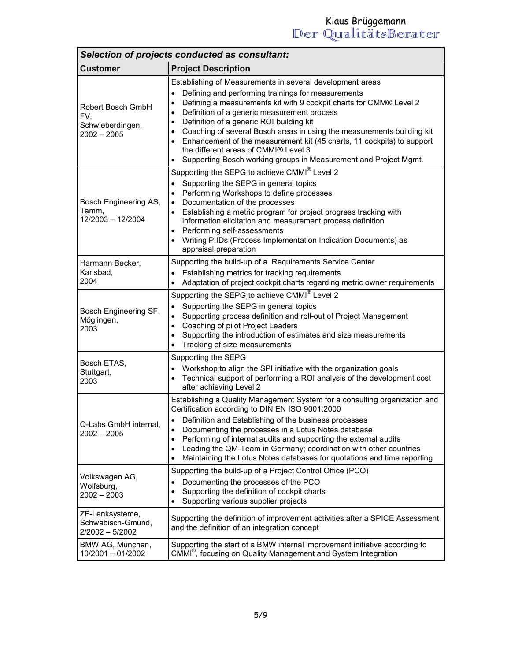| Selection of projects conducted as consultant:                |                                                                                                                                                                                                                                                                                                                                                                                                                                                                                                                                                                                                                                             |  |
|---------------------------------------------------------------|---------------------------------------------------------------------------------------------------------------------------------------------------------------------------------------------------------------------------------------------------------------------------------------------------------------------------------------------------------------------------------------------------------------------------------------------------------------------------------------------------------------------------------------------------------------------------------------------------------------------------------------------|--|
| <b>Customer</b>                                               | <b>Project Description</b>                                                                                                                                                                                                                                                                                                                                                                                                                                                                                                                                                                                                                  |  |
| Robert Bosch GmbH<br>FV,<br>Schwieberdingen,<br>$2002 - 2005$ | Establishing of Measurements in several development areas<br>Defining and performing trainings for measurements<br>$\bullet$<br>Defining a measurements kit with 9 cockpit charts for CMM® Level 2<br>$\bullet$<br>Definition of a generic measurement process<br>$\bullet$<br>Definition of a generic ROI building kit<br>$\bullet$<br>Coaching of several Bosch areas in using the measurements building kit<br>$\bullet$<br>Enhancement of the measurement kit (45 charts, 11 cockpits) to support<br>$\bullet$<br>the different areas of CMMI® Level 3<br>Supporting Bosch working groups in Measurement and Project Mgmt.<br>$\bullet$ |  |
| Bosch Engineering AS,<br>Tamm,<br>12/2003 - 12/2004           | Supporting the SEPG to achieve CMMI® Level 2<br>Supporting the SEPG in general topics<br>$\bullet$<br>Performing Workshops to define processes<br>$\bullet$<br>Documentation of the processes<br>$\bullet$<br>Establishing a metric program for project progress tracking with<br>$\bullet$<br>information elicitation and measurement process definition<br>Performing self-assessments<br>$\bullet$<br>Writing PIIDs (Process Implementation Indication Documents) as<br>$\bullet$<br>appraisal preparation                                                                                                                               |  |
| Harmann Becker,<br>Karlsbad,<br>2004                          | Supporting the build-up of a Requirements Service Center<br>Establishing metrics for tracking requirements<br>Adaptation of project cockpit charts regarding metric owner requirements<br>$\bullet$                                                                                                                                                                                                                                                                                                                                                                                                                                         |  |
| Bosch Engineering SF,<br>Möglingen,<br>2003                   | Supporting the SEPG to achieve CMMI® Level 2<br>Supporting the SEPG in general topics<br>$\bullet$<br>Supporting process definition and roll-out of Project Management<br>$\bullet$<br>Coaching of pilot Project Leaders<br>$\bullet$<br>Supporting the introduction of estimates and size measurements<br>$\bullet$<br>Tracking of size measurements                                                                                                                                                                                                                                                                                       |  |
| Bosch ETAS,<br>Stuttgart,<br>2003                             | Supporting the SEPG<br>Workshop to align the SPI initiative with the organization goals<br>$\bullet$<br>Technical support of performing a ROI analysis of the development cost<br>$\bullet$<br>after achieving Level 2                                                                                                                                                                                                                                                                                                                                                                                                                      |  |
| Q-Labs GmbH internal,<br>$2002 - 2005$                        | Establishing a Quality Management System for a consulting organization and<br>Certification according to DIN EN ISO 9001:2000<br>Definition and Establishing of the business processes<br>Documenting the processes in a Lotus Notes database<br>٠<br>Performing of internal audits and supporting the external audits<br>٠<br>Leading the QM-Team in Germany; coordination with other countries<br>$\bullet$<br>Maintaining the Lotus Notes databases for quotations and time reporting<br>$\bullet$                                                                                                                                       |  |
| Volkswagen AG,<br>Wolfsburg,<br>$2002 - 2003$                 | Supporting the build-up of a Project Control Office (PCO)<br>Documenting the processes of the PCO<br>$\bullet$<br>Supporting the definition of cockpit charts<br>$\bullet$<br>Supporting various supplier projects<br>$\bullet$                                                                                                                                                                                                                                                                                                                                                                                                             |  |
| ZF-Lenksysteme,<br>Schwäbisch-Gmünd,<br>2/2002 - 5/2002       | Supporting the definition of improvement activities after a SPICE Assessment<br>and the definition of an integration concept                                                                                                                                                                                                                                                                                                                                                                                                                                                                                                                |  |
| BMW AG, München,<br>10/2001 - 01/2002                         | Supporting the start of a BMW internal improvement initiative according to<br>CMMI <sup>®</sup> , focusing on Quality Management and System Integration                                                                                                                                                                                                                                                                                                                                                                                                                                                                                     |  |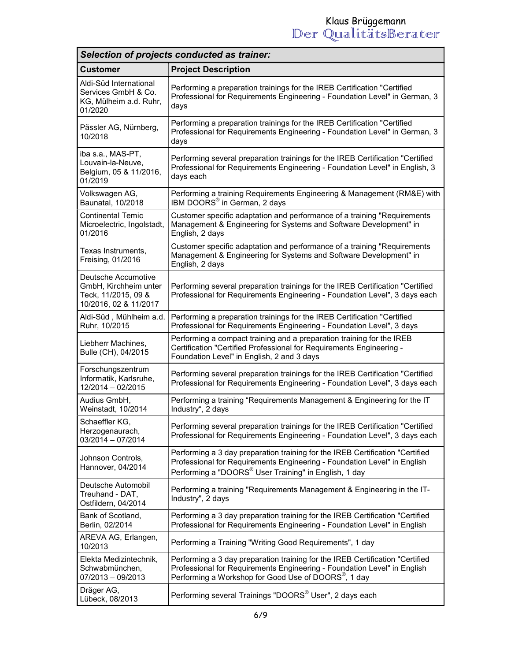| Selection of projects conducted as trainer:                                                  |                                                                                                                                                                                                                               |  |
|----------------------------------------------------------------------------------------------|-------------------------------------------------------------------------------------------------------------------------------------------------------------------------------------------------------------------------------|--|
| <b>Customer</b>                                                                              | <b>Project Description</b>                                                                                                                                                                                                    |  |
| Aldi-Süd International<br>Services GmbH & Co.<br>KG, Mülheim a.d. Ruhr,<br>01/2020           | Performing a preparation trainings for the IREB Certification "Certified<br>Professional for Requirements Engineering - Foundation Level" in German, 3<br>days                                                                |  |
| Pässler AG, Nürnberg,<br>10/2018                                                             | Performing a preparation trainings for the IREB Certification "Certified<br>Professional for Requirements Engineering - Foundation Level" in German, 3<br>days                                                                |  |
| iba s.a., MAS-PT,<br>Louvain-la-Neuve,<br>Belgium, 05 & 11/2016,<br>01/2019                  | Performing several preparation trainings for the IREB Certification "Certified<br>Professional for Requirements Engineering - Foundation Level" in English, 3<br>days each                                                    |  |
| Volkswagen AG,<br>Baunatal, 10/2018                                                          | Performing a training Requirements Engineering & Management (RM&E) with<br>IBM DOORS <sup>®</sup> in German, 2 days                                                                                                           |  |
| <b>Continental Temic</b><br>Microelectric, Ingolstadt,<br>01/2016                            | Customer specific adaptation and performance of a training "Requirements<br>Management & Engineering for Systems and Software Development" in<br>English, 2 days                                                              |  |
| Texas Instruments,<br>Freising, 01/2016                                                      | Customer specific adaptation and performance of a training "Requirements<br>Management & Engineering for Systems and Software Development" in<br>English, 2 days                                                              |  |
| Deutsche Accumotive<br>GmbH, Kirchheim unter<br>Teck, 11/2015, 09 &<br>10/2016, 02 & 11/2017 | Performing several preparation trainings for the IREB Certification "Certified<br>Professional for Requirements Engineering - Foundation Level", 3 days each                                                                  |  |
| Aldi-Süd, Mühlheim a.d.<br>Ruhr, 10/2015                                                     | Performing a preparation trainings for the IREB Certification "Certified<br>Professional for Requirements Engineering - Foundation Level", 3 days                                                                             |  |
| Liebherr Machines,<br>Bulle (CH), 04/2015                                                    | Performing a compact training and a preparation training for the IREB<br>Certification "Certified Professional for Requirements Engineering -<br>Foundation Level" in English, 2 and 3 days                                   |  |
| Forschungszentrum<br>Informatik, Karlsruhe,<br>12/2014 - 02/2015                             | Performing several preparation trainings for the IREB Certification "Certified<br>Professional for Requirements Engineering - Foundation Level", 3 days each                                                                  |  |
| Audius GmbH,<br>Weinstadt, 10/2014                                                           | Performing a training "Requirements Management & Engineering for the IT<br>Industry", 2 days                                                                                                                                  |  |
| Schaeffler KG.<br>Herzogenaurach,<br>$03/2014 - 07/2014$                                     | Performing several preparation trainings for the IREB Certification "Certified"<br>Professional for Requirements Engineering - Foundation Level", 3 days each                                                                 |  |
| Johnson Controls,<br>Hannover, 04/2014                                                       | Performing a 3 day preparation training for the IREB Certification "Certified<br>Professional for Requirements Engineering - Foundation Level" in English<br>Performing a "DOORS® User Training" in English, 1 day            |  |
| Deutsche Automobil<br>Treuhand - DAT,<br>Ostfildern, 04/2014                                 | Performing a training "Requirements Management & Engineering in the IT-<br>Industry", 2 days                                                                                                                                  |  |
| Bank of Scotland,<br>Berlin, 02/2014                                                         | Performing a 3 day preparation training for the IREB Certification "Certified<br>Professional for Requirements Engineering - Foundation Level" in English                                                                     |  |
| AREVA AG, Erlangen,<br>10/2013                                                               | Performing a Training "Writing Good Requirements", 1 day                                                                                                                                                                      |  |
| Elekta Medizintechnik,<br>Schwabmünchen,<br>$07/2013 - 09/2013$                              | Performing a 3 day preparation training for the IREB Certification "Certified<br>Professional for Requirements Engineering - Foundation Level" in English<br>Performing a Workshop for Good Use of DOORS <sup>®</sup> , 1 day |  |
| Dräger AG,<br>Lübeck, 08/2013                                                                | Performing several Trainings "DOORS® User", 2 days each                                                                                                                                                                       |  |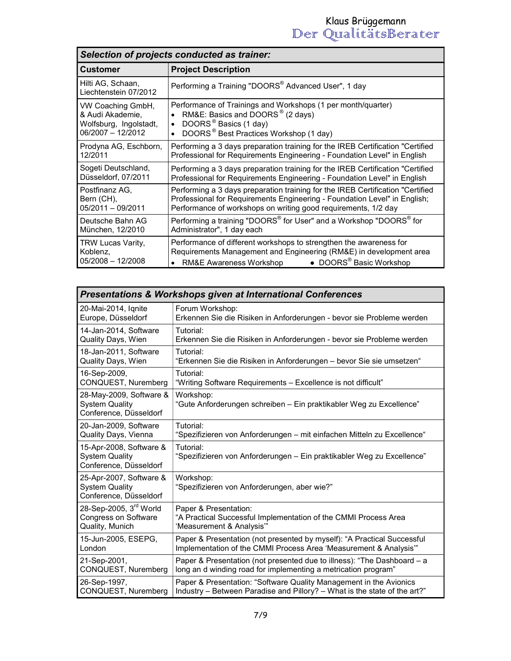| Selection of projects conducted as trainer:                                          |                                                                                                                                                                                                                                   |
|--------------------------------------------------------------------------------------|-----------------------------------------------------------------------------------------------------------------------------------------------------------------------------------------------------------------------------------|
| <b>Customer</b>                                                                      | <b>Project Description</b>                                                                                                                                                                                                        |
| Hilti AG, Schaan,<br>Liechtenstein 07/2012                                           | Performing a Training "DOORS® Advanced User", 1 day                                                                                                                                                                               |
| VW Coaching GmbH,<br>& Audi Akademie,<br>Wolfsburg, Ingolstadt,<br>06/2007 - 12/2012 | Performance of Trainings and Workshops (1 per month/quarter)<br>RM&E: Basics and DOORS <sup>®</sup> (2 days)<br>DOORS <sup>®</sup> Basics (1 day)<br>$\bullet$<br>DOORS <sup>®</sup> Best Practices Workshop (1 day)<br>$\bullet$ |
| Prodyna AG, Eschborn,<br>12/2011                                                     | Performing a 3 days preparation training for the IREB Certification "Certified"<br>Professional for Requirements Engineering - Foundation Level" in English                                                                       |
| Sogeti Deutschland,<br>Düsseldorf, 07/2011                                           | Performing a 3 days preparation training for the IREB Certification "Certified"<br>Professional for Requirements Engineering - Foundation Level" in English                                                                       |
| Postfinanz AG.<br>Bern (CH),<br>05/2011 - 09/2011                                    | Performing a 3 days preparation training for the IREB Certification "Certified<br>Professional for Requirements Engineering - Foundation Level" in English;<br>Performance of workshops on writing good requirements, 1/2 day     |
| Deutsche Bahn AG<br>München, 12/2010                                                 | Performing a training "DOORS® for User" and a Workshop "DOORS® for<br>Administrator", 1 day each                                                                                                                                  |
| TRW Lucas Varity,<br>Koblenz,<br>05/2008 - 12/2008                                   | Performance of different workshops to strengthen the awareness for<br>Requirements Management and Engineering (RM&E) in development area<br>• DOORS <sup>®</sup> Basic Workshop<br>RM&E Awareness Workshop                        |

| <b>Presentations &amp; Workshops given at International Conferences</b>    |                                                                                     |  |
|----------------------------------------------------------------------------|-------------------------------------------------------------------------------------|--|
| 20-Mai-2014, Ignite                                                        | Forum Workshop:                                                                     |  |
| Europe, Düsseldorf                                                         | Erkennen Sie die Risiken in Anforderungen - bevor sie Probleme werden               |  |
| 14-Jan-2014, Software                                                      | Tutorial:                                                                           |  |
| Quality Days, Wien                                                         | Erkennen Sie die Risiken in Anforderungen - bevor sie Probleme werden               |  |
| 18-Jan-2011, Software                                                      | Tutorial:                                                                           |  |
| Quality Days, Wien                                                         | "Erkennen Sie die Risiken in Anforderungen – bevor Sie sie umsetzen"                |  |
| 16-Sep-2009,                                                               | Tutorial:                                                                           |  |
| CONQUEST, Nuremberg                                                        | "Writing Software Requirements – Excellence is not difficult"                       |  |
| 28-May-2009, Software &<br><b>System Quality</b><br>Conference, Düsseldorf | Workshop:<br>"Gute Anforderungen schreiben - Ein praktikabler Weg zu Excellence"    |  |
| 20-Jan-2009, Software                                                      | Tutorial:                                                                           |  |
| Quality Days, Vienna                                                       | "Spezifizieren von Anforderungen - mit einfachen Mitteln zu Excellence"             |  |
| 15-Apr-2008, Software &<br><b>System Quality</b><br>Conference, Düsseldorf | Tutorial:<br>"Spezifizieren von Anforderungen - Ein praktikabler Weg zu Excellence" |  |
| 25-Apr-2007, Software &<br><b>System Quality</b><br>Conference, Düsseldorf | Workshop:<br>"Spezifizieren von Anforderungen, aber wie?"                           |  |
| 28-Sep-2005, 3rd World                                                     | Paper & Presentation:                                                               |  |
| Congress on Software                                                       | "A Practical Successful Implementation of the CMMI Process Area                     |  |
| Quality, Munich                                                            | "Measurement & Analysis"                                                            |  |
| 15-Jun-2005, ESEPG,                                                        | Paper & Presentation (not presented by myself): "A Practical Successful             |  |
| London                                                                     | Implementation of the CMMI Process Area 'Measurement & Analysis'"                   |  |
| 21-Sep-2001,                                                               | Paper & Presentation (not presented due to illness): "The Dashboard - a             |  |
| CONQUEST, Nuremberg                                                        | long an d winding road for implementing a metrication program"                      |  |
| 26-Sep-1997,                                                               | Paper & Presentation: "Software Quality Management in the Avionics                  |  |
| CONQUEST, Nuremberg                                                        | Industry – Between Paradise and Pillory? – What is the state of the art?"           |  |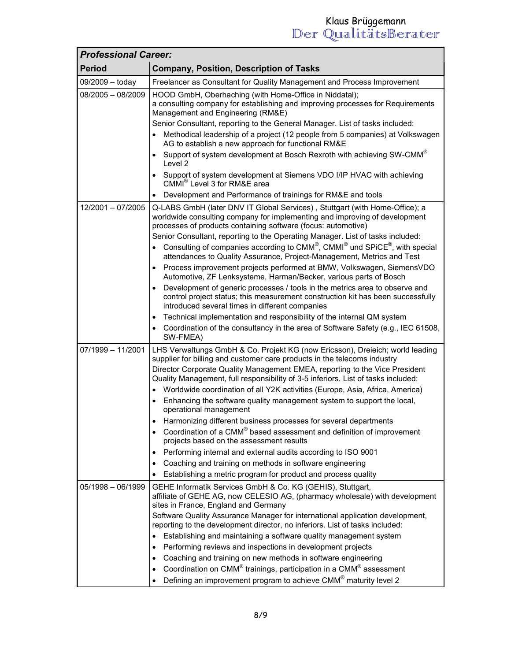| <b>Professional Career:</b> |                                                                                                                                                                                                                                |  |
|-----------------------------|--------------------------------------------------------------------------------------------------------------------------------------------------------------------------------------------------------------------------------|--|
| <b>Period</b>               | <b>Company, Position, Description of Tasks</b>                                                                                                                                                                                 |  |
| 09/2009 - today             | Freelancer as Consultant for Quality Management and Process Improvement                                                                                                                                                        |  |
| $08/2005 - 08/2009$         | HOOD GmbH, Oberhaching (with Home-Office in Niddatal);<br>a consulting company for establishing and improving processes for Requirements<br>Management and Engineering (RM&E)                                                  |  |
|                             | Senior Consultant, reporting to the General Manager. List of tasks included:                                                                                                                                                   |  |
|                             | Methodical leadership of a project (12 people from 5 companies) at Volkswagen<br>AG to establish a new approach for functional RM&E                                                                                            |  |
|                             | • Support of system development at Bosch Rexroth with achieving SW-CMM $^{\circ}$<br>Level 2                                                                                                                                   |  |
|                             | • Support of system development at Siemens VDO I/IP HVAC with achieving<br>CMMI <sup>®</sup> Level 3 for RM&E area                                                                                                             |  |
|                             | Development and Performance of trainings for RM&E and tools                                                                                                                                                                    |  |
| 12/2001 - 07/2005           | Q-LABS GmbH (later DNV IT Global Services), Stuttgart (with Home-Office); a<br>worldwide consulting company for implementing and improving of development<br>processes of products containing software (focus: automotive)     |  |
|                             | Senior Consultant, reporting to the Operating Manager. List of tasks included:<br>Consulting of companies according to CMM®, CMMI® und SPiCE®, with special                                                                    |  |
|                             | $\bullet$<br>attendances to Quality Assurance, Project-Management, Metrics and Test                                                                                                                                            |  |
|                             | • Process improvement projects performed at BMW, Volkswagen, SiemensVDO<br>Automotive, ZF Lenksysteme, Harman/Becker, various parts of Bosch                                                                                   |  |
|                             | Development of generic processes / tools in the metrics area to observe and<br>$\bullet$<br>control project status; this measurement construction kit has been successfully<br>introduced several times in different companies |  |
|                             | • Technical implementation and responsibility of the internal QM system                                                                                                                                                        |  |
|                             | • Coordination of the consultancy in the area of Software Safety (e.g., IEC 61508,<br>SW-FMEA)                                                                                                                                 |  |
| $07/1999 - 11/2001$         | LHS Verwaltungs GmbH & Co. Projekt KG (now Ericsson), Dreieich; world leading<br>supplier for billing and customer care products in the telecoms industry                                                                      |  |
|                             | Director Corporate Quality Management EMEA, reporting to the Vice President<br>Quality Management, full responsibility of 3-5 inferiors. List of tasks included:                                                               |  |
|                             | • Worldwide coordination of all Y2K activities (Europe, Asia, Africa, America)                                                                                                                                                 |  |
|                             | • Enhancing the software quality management system to support the local,<br>operational management                                                                                                                             |  |
|                             | Harmonizing different business processes for several departments<br>$\bullet$                                                                                                                                                  |  |
|                             | Coordination of a CMM® based assessment and definition of improvement<br>$\bullet$<br>projects based on the assessment results                                                                                                 |  |
|                             | Performing internal and external audits according to ISO 9001<br>$\bullet$                                                                                                                                                     |  |
|                             | Coaching and training on methods in software engineering<br>$\bullet$                                                                                                                                                          |  |
|                             | Establishing a metric program for product and process quality                                                                                                                                                                  |  |
| $05/1998 - 06/1999$         | GEHE Informatik Services GmbH & Co. KG (GEHIS), Stuttgart,<br>affiliate of GEHE AG, now CELESIO AG, (pharmacy wholesale) with development<br>sites in France, England and Germany                                              |  |
|                             | Software Quality Assurance Manager for international application development,                                                                                                                                                  |  |
|                             | reporting to the development director, no inferiors. List of tasks included:                                                                                                                                                   |  |
|                             | Establishing and maintaining a software quality management system<br>$\bullet$                                                                                                                                                 |  |
|                             | Performing reviews and inspections in development projects<br>$\bullet$                                                                                                                                                        |  |
|                             | Coaching and training on new methods in software engineering<br>$\bullet$                                                                                                                                                      |  |
|                             | Coordination on CMM <sup>®</sup> trainings, participation in a CMM <sup>®</sup> assessment<br>$\bullet$                                                                                                                        |  |
|                             | Defining an improvement program to achieve CMM <sup>®</sup> maturity level 2                                                                                                                                                   |  |